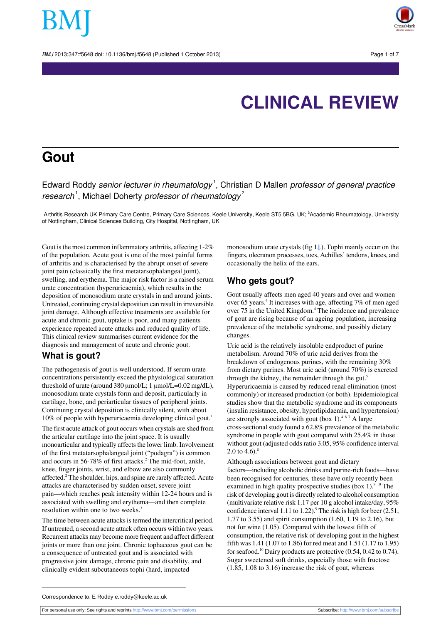

## **Gout**

Edward Roddy senior lecturer in rheumatology<sup>1</sup>, Christian D Mallen professor of general practice research<sup>1</sup>, Michael Doherty professor of rheumatology<sup>2</sup>

<sup>1</sup>Arthritis Research UK Primary Care Centre, Primary Care Sciences, Keele University, Keele ST5 5BG, UK; <sup>2</sup>Academic Rheumatology, University of Nottingham, Clinical Sciences Building, City Hospital, Nottingham, UK

Gout is the most common inflammatory arthritis, affecting 1-2% of the population. Acute gout is one of the most painful forms of arthritis and is characterised by the abrupt onset of severe joint pain (classically the first metatarsophalangeal joint), swelling, and erythema. The major risk factor is a raised serum urate concentration (hyperuricaemia), which results in the deposition of monosodium urate crystals in and around joints. Untreated, continuing crystal deposition can result in irreversible joint damage. Although effective treatments are available for acute and chronic gout, uptake is poor, and many patients experience repeated acute attacks and reduced quality of life. This clinical review summarises current evidence for the diagnosis and management of acute and chronic gout.

### **What is gout?**

The pathogenesis of gout is well understood. If serum urate concentrations persistently exceed the physiological saturation threshold of urate (around 380 μmol/L; 1 μmol/L=0.02 mg/dL), monosodium urate crystals form and deposit, particularly in cartilage, bone, and periarticular tissues of peripheral joints. Continuing crystal deposition is clinically silent, with about  $10\%$  of people with hyperuricaemia developing clinical gout.<sup>1</sup> The first acute attack of gout occurs when crystals are shed from the articular cartilage into the joint space. It is usually monoarticular and typically affects the lower limb. Involvement of the first metatarsophalangeal joint ("podagra") is common and occurs in 56-78% of first attacks.<sup>2</sup> The mid-foot, ankle, knee, finger joints, wrist, and elbow are also commonly affected.<sup>2</sup> The shoulder, hips, and spine are rarely affected. Acute attacks are characterised by sudden onset, severe joint pain—which reaches peak intensity within 12-24 hours and is associated with swelling and erythema—and then complete resolution within one to two weeks.<sup>3</sup>

The time between acute attacks is termed the intercritical period. If untreated, a second acute attack often occurs within two years. Recurrent attacks may become more frequent and affect different joints or more than one joint. Chronic tophaceous gout can be a consequence of untreated gout and is associated with progressive joint damage, chronic pain and disability, and clinically evident subcutaneous tophi (hard, impacted

monosodium urate crystals (fig  $1 \downarrow$ ). Tophi mainly occur on the fingers, olecranon processes, toes, Achilles' tendons, knees, and occasionally the helix of the ears.

### **Who gets gout?**

Gout usually affects men aged 40 years and over and women over 65 years.<sup>4</sup> It increases with age, affecting 7% of men aged over 75 in the United Kingdom.<sup>4</sup> The incidence and prevalence of gout are rising because of an ageing population, increasing prevalence of the metabolic syndrome, and possibly dietary changes.

Uric acid is the relatively insoluble endproduct of purine metabolism. Around 70% of uric acid derives from the breakdown of endogenous purines, with the remaining 30% from dietary purines. Most uric acid (around 70%) is excreted through the kidney, the remainder through the gut.<sup>5</sup> Hyperuricaemia is caused by reduced renal elimination (most commonly) or increased production (or both). Epidemiological studies show that the metabolic syndrome and its components (insulin resistance, obesity, hyperlipidaemia, and hypertension) are strongly associated with gout (box 1).<sup>467</sup> A large cross-sectional study found a 62.8% prevalence of the metabolic syndrome in people with gout compared with 25.4% in those without gout (adjusted odds ratio 3.05, 95% confidence interval 2.0 to  $4.6$ .<sup>8</sup>

Although associations between gout and dietary factors—including alcoholic drinks and purine-rich foods—have been recognised for centuries, these have only recently been examined in high quality prospective studies (box 1).<sup>9 10</sup> The risk of developing gout is directly related to alcohol consumption (multivariate relative risk 1.17 per 10 g alcohol intake/day, 95% confidence interval 1.11 to 1.22).<sup>9</sup> The risk is high for beer  $(2.51, 1)$ 1.77 to 3.55) and spirit consumption (1.60, 1.19 to 2.16), but not for wine (1.05). Compared with the lowest fifth of consumption, the relative risk of developing gout in the highest fifth was 1.41 (1.07 to 1.86) for red meat and 1.51 (1.17 to 1.95) for seafood.<sup>10</sup> Dairy products are protective  $(0.54, 0.42 \text{ to } 0.74)$ . Sugar sweetened soft drinks, especially those with fructose (1.85, 1.08 to 3.16) increase the risk of gout, whereas

Correspondence to: E Roddy e.roddy@keele.ac.uk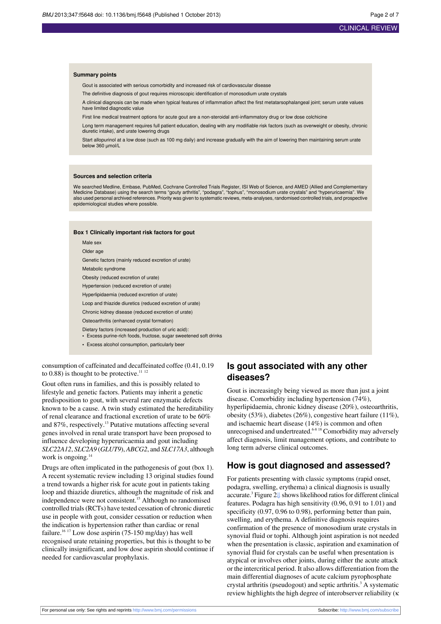#### **Summary points**

Gout is associated with serious comorbidity and increased risk of cardiovascular disease

The definitive diagnosis of gout requires microscopic identification of monosodium urate crystals

A clinical diagnosis can be made when typical features of inflammation affect the first metatarsophalangeal joint; serum urate values have limited diagnostic value

First line medical treatment options for acute gout are a non-steroidal anti-inflammatory drug or low dose colchicine

Long term management requires full patient education, dealing with any modifiable risk factors (such as overweight or obesity, chronic diuretic intake), and urate lowering drugs

Start allopurinol at a low dose (such as 100 mg daily) and increase gradually with the aim of lowering then maintaining serum urate below 360 µmol/L

#### **Sources and selection criteria**

We searched Medline, Embase, PubMed, Cochrane Controlled Trials Register, ISI Web of Science, and AMED (Allied and Complementary Medicine Database) using the search terms "gouty arthritis", "podagra", "tophus", "monosodium urate crystals" and "hyperuricaemia". We also used personal archived references. Priority was given to systematic reviews, meta-analyses, randomised controlled trials, and prospective epidemiological studies where possible.

#### **Box 1 Clinically important risk factors for gout**

Male sex Older age Genetic factors (mainly reduced excretion of urate) Metabolic syndrome Obesity (reduced excretion of urate) Hypertension (reduced excretion of urate) Hyperlipidaemia (reduced excretion of urate) Loop and thiazide diuretics (reduced excretion of urate) Chronic kidney disease (reduced excretion of urate) Osteoarthritis (enhanced crystal formation) Dietary factors (increased production of uric acid): **•** Excess purine-rich foods, fructose, sugar sweetened soft drinks

**•** Excess alcohol consumption, particularly beer

consumption of caffeinated and decaffeinated coffee (0.41, 0.19 to  $0.88$ ) is thought to be protective.<sup>11 12</sup>

Gout often runs in families, and this is possibly related to lifestyle and genetic factors. Patients may inherit a genetic predisposition to gout, with several rare enzymatic defects known to be a cause. A twin study estimated the hereditability of renal clearance and fractional excretion of urate to be 60% and 87%, respectively.<sup>13</sup> Putative mutations affecting several genes involved in renal urate transport have been proposed to influence developing hyperuricaemia and gout including *SLC22A12*, *SLC2A9* (*GLUT9*), *ABCG2*, and *SLC17A3*, although work is ongoing. $14$ 

Drugs are often implicated in the pathogenesis of gout (box 1). A recent systematic review including 13 original studies found a trend towards a higher risk for acute gout in patients taking loop and thiazide diuretics, although the magnitude of risk and independence were not consistent.<sup>15</sup> Although no randomised controlled trials(RCTs) have tested cessation of chronic diuretic use in people with gout, consider cessation or reduction when the indication is hypertension rather than cardiac or renal failure.<sup>16 17</sup> Low dose aspirin (75-150 mg/day) has well recognised urate retaining properties, but this is thought to be clinically insignificant, and low dose aspirin should continue if needed for cardiovascular prophylaxis.

### **Is gout associated with any other diseases?**

Gout is increasingly being viewed as more than just a joint disease. Comorbidity including hypertension (74%), hyperlipidaemia, chronic kidney disease (20%), osteoarthritis, obesity (53%), diabetes (26%), congestive heart failure (11%), and ischaemic heart disease (14%) is common and often unrecognised and undertreated.<sup>6-8 18</sup> Comorbidity may adversely affect diagnosis, limit management options, and contribute to long term adverse clinical outcomes.

#### **How is gout diagnosed and assessed?**

For patients presenting with classic symptoms (rapid onset, podagra, swelling, erythema) a clinical diagnosis is usually accurate.<sup>3</sup> Figure 2[⇓](#page-6-1) showslikelihood ratiosfor different clinical features. Podagra has high sensitivity (0.96, 0.91 to 1.01) and specificity (0.97, 0.96 to 0.98), performing better than pain, swelling, and erythema. A definitive diagnosis requires confirmation of the presence of monosodium urate crystals in synovial fluid or tophi. Although joint aspiration is not needed when the presentation is classic, aspiration and examination of synovial fluid for crystals can be useful when presentation is atypical or involves other joints, during either the acute attack or the intercritical period. It also allows differentiation from the main differential diagnoses of acute calcium pyrophosphate crystal arthritis (pseudogout) and septic arthritis.<sup>3</sup> A systematic review highlights the high degree of interobserver reliability (κ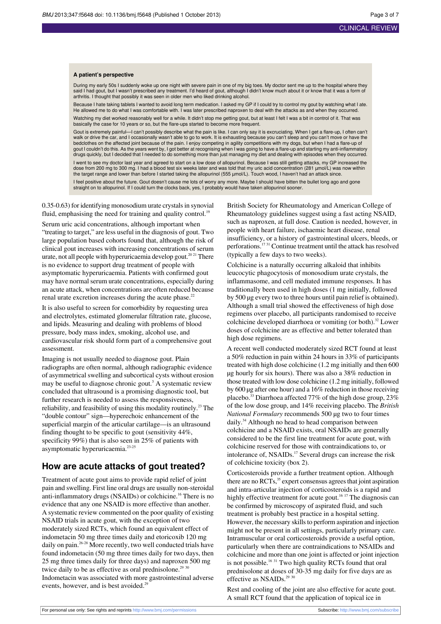#### **A patient's perspective**

During my early 50s I suddenly woke up one night with severe pain in one of my big toes. My doctor sent me up to the hospital where they said I had gout, but I wasn't prescribed any treatment. I'd heard of gout, although I didn't know much about it or know that it was a form of arthritis. I thought that possibly it was seen in older men who liked drinking alcohol.

Because I hate taking tablets I wanted to avoid long term medication. I asked my GP if I could try to control my gout by watching what I ate. He allowed me to do what I was comfortable with. I was later prescribed naproxen to deal with the attacks as and when they occurred.

Watching my diet worked reasonably well for a while. It didn't stop me getting gout, but at least I felt I was a bit in control of it. That was basically the case for 10 years or so, but the flare-ups started to become more frequent.

Gout is extremely painful—I can't possibly describe what the pain is like. I can only say it is excruciating. When I get a flare-up, I often can't walk or drive the car, and I occasionally wasn't able to go to work. It is exhausting because you can't sleep and you can't move or have the bedclothes on the affected joint because of the pain. I enjoy competing in agility competitions with my dogs, but when I had a flare-up of gout I couldn't do this. As the years went by, I got better at recognising when I was going to have a flare-up and starting my anti-inflammatory drugs quickly, but I decided that I needed to do something more than just managing my diet and dealing with episodes when they occurred.

I went to see my doctor last year and agreed to start on a low dose of allopurinol. Because I was still getting attacks, my GP increased the dose from 200 mg to 300 mg. I had a blood test six weeks later and was told that my uric acid concentration (281 µmol/L) was now within<br>the target range and lower than before I started taking the allopurinol (555 µmol/L).

I feel positive about the future. Gout doesn't cause me lots of worry any more. Maybe I should have bitten the bullet long ago and gone straight on to allopurinol. If I could turn the clocks back, yes, I probably would have taken allopurinol sooner.

0.35-0.63) for identifying monosodium urate crystals in synovial fluid, emphasising the need for training and quality control.<sup>19</sup>

Serum uric acid concentrations, although important when "treating to target," are less useful in the diagnosis of gout. Two large population based cohorts found that, although the risk of clinical gout increases with increasing concentrations of serum urate, not all people with hyperuricaemia develop gout.<sup>20 21</sup> There is no evidence to support drug treatment of people with asymptomatic hyperuricaemia. Patients with confirmed gout may have normal serum urate concentrations, especially during an acute attack, when concentrations are often reduced because renal urate excretion increases during the acute phase.<sup>22</sup>

It is also useful to screen for comorbidity by requesting urea and electrolytes, estimated glomerular filtration rate, glucose, and lipids. Measuring and dealing with problems of blood pressure, body mass index, smoking, alcohol use, and cardiovascular risk should form part of a comprehensive gout assessment.

Imaging is not usually needed to diagnose gout. Plain radiographs are often normal, although radiographic evidence of asymmetrical swelling and subcortical cysts without erosion may be useful to diagnose chronic gout.<sup>3</sup> A systematic review concluded that ultrasound is a promising diagnostic tool, but further research is needed to assess the responsiveness, reliability, and feasibility of using this modality routinely.<sup>23</sup> The "double contour" sign—hyperechoic enhancement of the superficial margin of the articular cartilage—is an ultrasound finding thought to be specific to gout (sensitivity 44%, specificity 99%) that is also seen in 25% of patients with asymptomatic hyperuricaemia.23-25

### **How are acute attacks of gout treated?**

Treatment of acute gout aims to provide rapid relief of joint pain and swelling. First line oral drugs are usually non-steroidal anti-inflammatory drugs (NSAIDs) or colchicine.<sup>16</sup> There is no evidence that any one NSAID is more effective than another. A systematic review commented on the poor quality of existing NSAID trials in acute gout, with the exception of two moderately sized RCTs, which found an equivalent effect of indometacin 50 mg three times daily and etoricoxib 120 mg daily on pain.<sup>26-28</sup> More recently, two well conducted trials have found indometacin (50 mg three times daily for two days, then 25 mg three times daily for three days) and naproxen 500 mg twice daily to be as effective as oral prednisolone.<sup>29 30</sup> Indometacin was associated with more gastrointestinal adverse events, however, and is best avoided.<sup>29</sup>

British Society for Rheumatology and American College of Rheumatology guidelines suggest using a fast acting NSAID, such as naproxen, at full dose. Caution is needed, however, in people with heart failure, ischaemic heart disease, renal insufficiency, or a history of gastrointestinal ulcers, bleeds, or perforations.<sup>17 31</sup> Continue treatment until the attack has resolved (typically a few days to two weeks).

Colchicine is a naturally occurring alkaloid that inhibits leucocytic phagocytosis of monosodium urate crystals, the inflammasome, and cell mediated immune responses. It has traditionally been used in high doses (1 mg initially, followed by 500 µg every two to three hours until pain relief is obtained). Although a small trial showed the effectiveness of high dose regimens over placebo, all participants randomised to receive colchicine developed diarrhoea or vomiting (or both).<sup>32</sup> Lower doses of colchicine are as effective and better tolerated than high dose regimens.

A recent well conducted moderately sized RCT found at least a 50% reduction in pain within 24 hours in 33% of participants treated with high dose colchicine (1.2 mg initially and then 600 µg hourly for six hours). There was also a 38% reduction in those treated with low dose colchicine (1.2 mg initially, followed by 600 µg after one hour) and a 16% reduction in those receiving placebo.<sup>33</sup> Diarrhoea affected 77% of the high dose group, 23% of the low dose group, and 14% receiving placebo. The *British National Formulary* recommends 500 µg two to four times daily.<sup>34</sup> Although no head to head comparison between colchicine and a NSAID exists, oral NSAIDs are generally considered to be the first line treatment for acute gout, with colchicine reserved for those with contraindications to, or intolerance of, NSAIDs.<sup>17</sup> Several drugs can increase the risk of colchicine toxicity (box 2).

Corticosteroids provide a further treatment option. Although there are no  $\text{RCTs}$ ,<sup>35</sup> expert consensus agrees that joint aspiration and intra-articular injection of corticosteroids is a rapid and highly effective treatment for acute gout.<sup>16 17</sup> The diagnosis can be confirmed by microscopy of aspirated fluid, and such treatment is probably best practice in a hospital setting. However, the necessary skills to perform aspiration and injection might not be present in all settings, particularly primary care. Intramuscular or oral corticosteroids provide a useful option, particularly when there are contraindications to NSAIDs and colchicine and more than one joint is affected or joint injection is not possible.<sup>16 31</sup> Two high quality RCTs found that oral prednisolone at doses of 30-35 mg daily for five days are as effective as NSAIDs.<sup>29 30</sup>

Rest and cooling of the joint are also effective for acute gout. A small RCT found that the application of topical ice in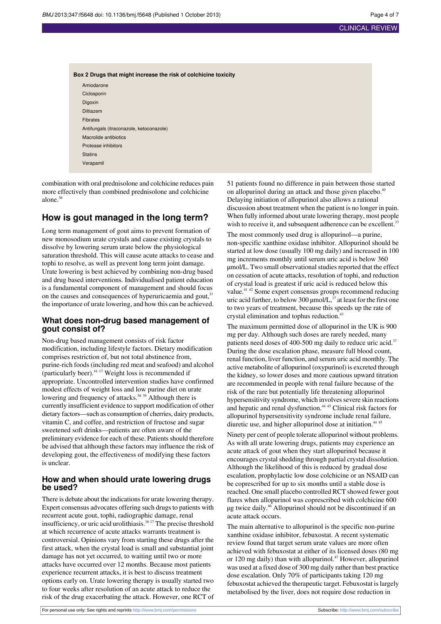### **Box 2 Drugs that might increase the risk of colchicine toxicity** Amiodarone Ciclosporin Digoxin Diltiazem Fibrates Antifungals (itraconazole, ketoconazole) Macrolide antibiotics Protease inhibitors **Stating** Verapamil

combination with oral prednisolone and colchicine reduces pain more effectively than combined prednisolone and colchicine alone.<sup>36</sup>

### **How is gout managed in the long term?**

Long term management of gout aims to prevent formation of new monosodium urate crystals and cause existing crystals to dissolve by lowering serum urate below the physiological saturation threshold. This will cause acute attacks to cease and tophi to resolve, as well as prevent long term joint damage. Urate lowering is best achieved by combining non-drug based and drug based interventions. Individualised patient education is a fundamental component of management and should focus on the causes and consequences of hyperuricaemia and gout,<sup>37</sup> the importance of urate lowering, and how this can be achieved.

#### **What does non-drug based management of gout consist of?**

Non-drug based management consists of risk factor modification, including lifestyle factors. Dietary modification comprises restriction of, but not total abstinence from, purine-rich foods (including red meat and seafood) and alcohol (particularly beer).<sup>16</sup> <sup>17</sup> Weight loss is recommended if appropriate. Uncontrolled intervention studies have confirmed modest effects of weight loss and low purine diet on urate lowering and frequency of attacks.<sup>38</sup> <sup>39</sup> Although there is currently insufficient evidence to support modification of other dietary factors—such as consumption of cherries, dairy products, vitamin C, and coffee, and restriction of fructose and sugar sweetened soft drinks—patients are often aware of the preliminary evidence for each of these. Patients should therefore be advised that although these factors may influence the risk of developing gout, the effectiveness of modifying these factors is unclear.

#### **How and when should urate lowering drugs be used?**

There is debate about the indications for urate lowering therapy. Expert consensus advocates offering such drugs to patients with recurrent acute gout, tophi, radiographic damage, renal insufficiency, or uric acid urolithiasis.<sup>16</sup> <sup>17</sup> The precise threshold at which recurrence of acute attacks warrants treatment is controversial. Opinions vary from starting these drugs after the first attack, when the crystal load is small and substantial joint damage has not yet occurred, to waiting until two or more attacks have occurred over 12 months. Because most patients experience recurrent attacks, it is best to discuss treatment options early on. Urate lowering therapy is usually started two to four weeks after resolution of an acute attack to reduce the risk of the drug exacerbating the attack. However, one RCT of

51 patients found no difference in pain between those started on allopurinol during an attack and those given placebo.<sup>40</sup> Delaying initiation of allopurinol also allows a rational discussion about treatment when the patient is no longer in pain. When fully informed about urate lowering therapy, most people wish to receive it, and subsequent adherence can be excellent.<sup>3</sup> The most commonly used drug is allopurinol—a purine, non-specific xanthine oxidase inhibitor. Allopurinol should be started at low dose (usually 100 mg daily) and increased in 100 mg increments monthly until serum uric acid is below 360 umol/L. Two small observational studies reported that the effect on cessation of acute attacks, resolution of tophi, and reduction of crystal load is greatest if uric acid is reduced below this value.<sup>41</sup> <sup>42</sup> Some expert consensus groups recommend reducing uric acid further, to below 300  $\mu$ mol/L,<sup>17</sup> at least for the first one to two years of treatment, because this speeds up the rate of crystal elimination and tophus reduction.<sup>43</sup>

The maximum permitted dose of allopurinol in the UK is 900 mg per day. Although such doses are rarely needed, many patients need doses of 400-500 mg daily to reduce uric acid.<sup>37</sup> During the dose escalation phase, measure full blood count, renal function, liver function, and serum uric acid monthly. The active metabolite of allopurinol (oxypurinol) is excreted through the kidney, so lower doses and more cautious upward titration are recommended in people with renal failure because of the risk of the rare but potentially life threatening allopurinol hypersensitivity syndrome, which involves severe skin reactions and hepatic and renal dysfunction.<sup>44 45</sup> Clinical risk factors for allopurinol hypersensitivity syndrome include renal failure, diuretic use, and higher allopurinol dose at initiation.<sup>44 45</sup>

Ninety per cent of people tolerate allopurinol without problems. As with all urate lowering drugs, patients may experience an acute attack of gout when they start allopurinol because it encourages crystal shedding through partial crystal dissolution. Although the likelihood of this is reduced by gradual dose escalation, prophylactic low dose colchicine or an NSAID can be coprescribed for up to six months until a stable dose is reached. One small placebo controlled RCT showed fewer gout flares when allopurinol was coprescribed with colchicine 600 µg twice daily.<sup>46</sup> Allopurinol should not be discontinued if an acute attack occurs.

The main alternative to allopurinol is the specific non-purine xanthine oxidase inhibitor, febuxostat. A recent systematic review found that target serum urate values are more often achieved with febuxostat at either of its licensed doses (80 mg or 120 mg daily) than with allopurinol. $47$  However, allopurinol was used at a fixed dose of 300 mg daily rather than best practice dose escalation. Only 70% of participants taking 120 mg febuxostat achieved the therapeutic target. Febuxostat is largely metabolised by the liver, does not require dose reduction in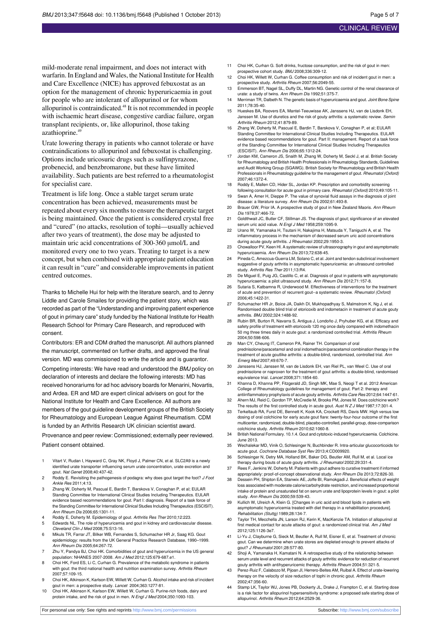mild-moderate renal impairment, and does not interact with warfarin. In England and Wales, the National Institute for Health and Care Excellence (NICE) has approved febuxostat as an option for the management of chronic hyperuricaemia in gout for people who are intolerant of allopurinol or for whom allopurinol is contraindicated.<sup>48</sup> It is not recommended in people with ischaemic heart disease, congestive cardiac failure, organ transplant recipients, or, like allopurinol, those taking azathioprine.

Urate lowering therapy in patients who cannot tolerate or have contraindications to allopurinol and febuxostat is challenging. Options include uricosuric drugs such as sulfinpyrazone, probenecid, and benzbromarone, but these have limited availability. Such patients are best referred to a rheumatologist for specialist care.

Treatment is life long. Once a stable target serum urate concentration has been achieved, measurements must be repeated about every six months to ensure the therapeutic target is being maintained. Once the patient is considered crystal free and "cured" (no attacks, resolution of tophi—usually achieved after two years of treatment), the dose may be adjusted to maintain uric acid concentrations of 300-360 μmol/L and monitored every one to two years. Treating to target is a new concept, but when combined with appropriate patient education it can result in "cure" and considerable improvementsin patient centred outcomes.

Thanks to Michelle Hui for help with the literature search, and to Jenny Liddle and Carole Smailes for providing the patient story, which was recorded as part of the "Understanding and improving patient experience of gout in primary care" study funded by the National Institute for Health Research School for Primary Care Research, and reproduced with consent.

Contributors: ER and CDM drafted the manuscript. All authors planned the manuscript, commented on further drafts, and approved the final version. MD was commissioned to write the article and is guarantor. Competing interests: We have read and understood the BMJ policy on declaration of interests and declare the following interests: MD has received honorariums for ad hoc advisory boards for Menarini, Novartis, and Ardea. ER and MD are expert clinical advisers on gout for the National Institute for Health and Care Excellence. All authors are members of the gout guideline development groups of the British Society

for Rheumatology and European League Against Rheumatism. CDM is funded by an Arthritis Research UK clinician scientist award.

Provenance and peer review: Commissioned; externally peer reviewed. Patient consent obtained.

- Vitart V, Rudan I, Hayward C, Gray NK, Floyd J, Palmer CN, et al. SLC2A9 is a newly identified urate transporter influencing serum urate concentration, urate excretion and gout. Nat Genet 2008;40:437-42.
- Roddy E. Revisiting the pathogenesis of podagra: why does gout target the foot? J Foot Ankle Res 2011;4:13.
- Zhang W, Doherty M, Pascual E, Bardin T, Barskova V, Conaghan P, et al; EULAR Standing Committee for International Clinical Studies Including Therapeutics. EULAR evidence based recommendations for gout. Part I: diagnosis. Report of a task force of the Standing Committee for International Clinical Studies Including Therapeutics (ESCISIT). Ann Rheum Dis 2006;65:1301-11.
- Roddy E, Doherty M. Epidemiology of gout. Arthritis Res Ther 2010;12:223.
- 5 Edwards NL. The role of hyperuricemia and gout in kidney and cardiovascular disease. Cleveland Clin J Med 2008;75:S13-16.
- 6 Mikuls TR, Farrar JT, Bilker WB, Fernandes S, Schumacher HR Jr, Saag KG. Gout epidemiology: results from the UK General Practice Research Database, 1990–1999. Ann Rheum Dis 2005;64:267-72.
- 7 Zhu Y, Pandya BJ, Choi HK. Comorbidities of gout and hyperuricemia in the US general population: NHANES 2007-2008. Am J Med 2012;125:679-687.e1.
- 8 Choi HK, Ford ES, Li C, Curhan G. Prevalence of the metabolic syndrome in patients with gout: the third national health and nutrition examination survey. Arthritis Rheum 2007;57:109-15.
- 9 Choi HK, Atkinson K, Karlson EW, Willett W, Curhan G. Alcohol intake and risk of incident gout in men: a prospective study. Lancet 2004;363:1277-81.
- 10 Choi HK, Atkinson K, Karlson EW, Willett W, Curhan G. Purine-rich foods, dairy and protein intake, and the risk of gout in men. N Engl J Med 2004;350:1093-103.
- 11 Choi HK, Curhan G. Soft drinks, fructose consumption, and the risk of gout in men: prospective cohort study. BMJ 2008;336:309-12.
- 12 Choi HK, Willett W, Curhan G. Coffee consumption and risk of incident gout in men: a prospective study. Arthritis Rheum 2007;56:2049-55.
- 13 Emmerson BT, Nagel SL, Duffy DL, Martin NG. Genetic control of the renal clearance of urate: a study of twins. Ann Rheum Dis 1992;51:375-7.
- 14 Merriman TR, Dalbeth N. The genetic basis of hyperuricaemia and gout. Joint Bone Spine 2011;78:35-40. 15 Hueskes BA, Roovers EA, Mantel-Teeuwisse AK, Janssens HJ, van de Lisdonk EH,
- Janssen M. Use of diuretics and the risk of gouty arthritis: a systematic review. Semin Arthritis Rheum 2012;41:879-89.
- 16 Zhang W, Doherty M, Pascual E, Bardin T, Barskova V, Conaghan P, et al; EULAR Standing Committee for International Clinical Studies Including Therapeutics. EULAR evidence based recommendations for gout. Part II: management. Report of a task force of the Standing Committee for International Clinical Studies Including Therapeutics (ESCISIT). Ann Rheum Dis 2006;65:1312-24.
- Jordan KM, Cameron JS, Snaith M, Zhang W, Doherty M, Seckl J, et al. British Society for Rheumatology and British Health Professionals in Rheumatology Standards, Guidelines and Audit Working Group (SGAWG). British Society for Rheumatology and British Health Professionals in Rheumatology guideline for the management of gout. Rheumatol (Oxford) 2007;46:1372-4.
- 18 Roddy E, Mallen CD, Hider SL, Jordan KP. Prescription and comorbidity screening following consultation for acute gout in primary care. Rheumatol (Oxford) 2010;49:105-11.
- 19 Swan A, Amer H, Dieppe P. The value of synovial fluid assays in the diagnosis of joint disease: a literature survey. Ann Rheum Dis 2002;61:493-8.
- 20 Brauer GW, Prior IA. A prospective study of gout in New Zealand Maoris. Ann Rheum Dis 1978;37:466-72.
- 21 Goldthwait JC, Butler CF, Stillman JS. The diagnosis of gout; significance of an elevated serum uric acid value. N Engl J Med 1958;259:1095-9.
- 22 Urano W, Yamanaka H, Tsutani H, Nakajima H, Matsuda Y, Taniguchi A, et al. The inflammatory process in the mechanism of decreased serum uric acid concentrations during acute gouty arthritis. J Rheumatol 2002;29:1950-3.
- 23 Chowalloor PV, Keen HI. A systematic review of ultrasonography in gout and asymptomatic hyperuricaemia. Ann Rheum Dis 2013;72:638-45.
- 24 Pineda C, Amezcua-Guerra LM, Solano C, et al. Joint and tendon subclinical involvement suggestive of gouty arthritis in asymptomatic hyperuricemia: an ultrasound controlled study. Arthritis Res Ther 2011;13:R4.
- 25 De Miguel E, Puig JG, Castillo C, et al. Diagnosis of gout in patients with asymptomatic hyperuricaemia: a pilot ultrasound study. Ann Rheum Dis 2012;71:157-8.
- 26 Sutaria S, Katbamna R, Underwood M. Effectiveness of interventions for the treatment of acute and prevention of recurrent gout--a systematic review. Rheumatol (Oxford) 2006;45:1422-31.
- 27 Schumacher HR Jr, Boice JA, Daikh DI, Mukhopadhyay S, Malmstrom K, Ng J, et al. Randomised double blind trial of etoricoxib and indometacin in treatment of acute gouty arthritis. BMJ 2002:324:1488-92.
- 28 Rubin BR, Burton R, Navarra S, Antigua J, Londoño J, Pryhuber KG, et al. Efficacy and safety profile of treatment with etoricoxib 120 mg once daily compared with indomethacin 50 mg three times daily in acute gout: a randomized controlled trial. Arthritis Rheum 2004;50:598-606.
- 29 Man CY, Cheung IT, Cameron PA, Rainer TH. Comparison of oral prednisolone/paracetamol and oral indomethacin/paracetamol combination therapy in the .<br>treatment of acute goutlike arthritis: a double-blind, randomized, controlled trial. Ann Emerg Med 2007;49:670-7.
- 30 Janssens HJ, Janssen M, van de Lisdonk EH, van Riel PL, van Weel C. Use of oral prednisolone or naproxen for the treatment of gout arthritis: a double-blind, randomised equivalence trial. Lancet 2008;371:1854-60.
- 31 Khanna D, Khanna PP, Fitzgerald JD, Singh MK, Mae S, Neogi T et al. 2012 American College of Rheumatology guidelines for management of gout. Part 2: therapy and antiinflammatory prophylaxis of acute gouty arthritis. Arthritis Care Res 2012;64:1447-61.
- 32 Ahern MJ, Reid C, Gordon TP, McCredie M, Brooks PM, Jones M. Does colchicine work? The results of the first controlled study in acute gout. Aust N Z J Med 1987;17:301-4.
- 33 Terkeltaub RA, Furst DE, Bennett K, Kook KA, Crockett RS, Davis MW. High versus low dosing of oral colchicine for early acute gout flare: twenty-four-hour outcome of the first multicenter, randomized, double-blind, placebo-controlled, parallel-group, dose-comparison colchicine study. Arthritis Rheum 2010;62:1060-8.
- 34 British National Formulary. 10.1.4. Gout and cytotoxic-induced hyperuricaemia. Colchicine. June 2013.
- 35 Wechalekar MD, Vinik O, Schlesinger N, Buchbinder R. Intra-articular glucocorticoids for acute gout. Cochrane Database Syst Rev 2013;4:CD009920.
- 36 Schlesinger N, Detry MA, Holland BK, Baker DG, Beutler AM, Rull M, et al. Local ice therapy during bouts of acute gouty arthritis. J Rheumatol 2002;29:331-4.
- 37 Rees F, Jenkins W, Doherty M. Patients with gout adhere to curative treatment if informed appropriately: proof-of-concept observational study. Ann Rheum Dis 2013;72:826-30.
- 38 Dessein PH, Shipton EA, Stanwix AE, Joffe BI, Ramokgadi J. Beneficial effects of weight loss associated with moderate calorie/carbohydrate restriction, and increased proportional intake of protein and unsaturated fat on serum urate and lipoprotein levels in gout: a pilot study. Ann Rheum Dis 2000;59:539-43.
- 39 Kullich W, Ulreich A, Klein G. [Changes in uric acid and blood lipids in patients with asymptomatic hyperuricemia treated with diet therapy in a rehabilitation procedure]. Rehabilitation (Stuttg) 1989;28:134-7.
- 40 Taylor TH, Mecchella JN, Larson RJ, Kerin K, MacKenzie TA. Initiation of allopurinol at first medical contact for acute attacks of gout: a randomized clinical trial. Am J Med 2012;125:1126-3e7.
- 41 Li-Yu J, Clayburne G, Sieck M, Beutler A, Rull M, Eisner E, et al. Treatment of chronic gout. Can we determine when urate stores are depleted enough to prevent attacks of gout? J Rheumatol 2001;28:577-80.
- Shoji A, Yamanaka H, Kamatani N. A retrospective study of the relationship between serum urate level and recurrent attacks of gouty arthritis: evidence for reduction of recurrent gouty arthritis with antihyperuricemic therapy. Arthritis Rheum 2004;51:321-5.
- 43 Perez-Ruiz F, Calabozo M, Pijoan JI, Herrero-Beites AM, Ruibal A. Effect of urate-lowering therapy on the velocity of size reduction of tophi in chronic gout. Arthritis Rheum 2002;47:356-60.
- 44 Stamp LK, Taylor WJ, Jones PB, Dockerty JL, Drake J, Frampton C, et al. Starting dose is a risk factor for allopurinol hypersensitivity syndrome: a proposed safe starting dose of allopurinol. Arthritis Rheum 2012;64:2529-36.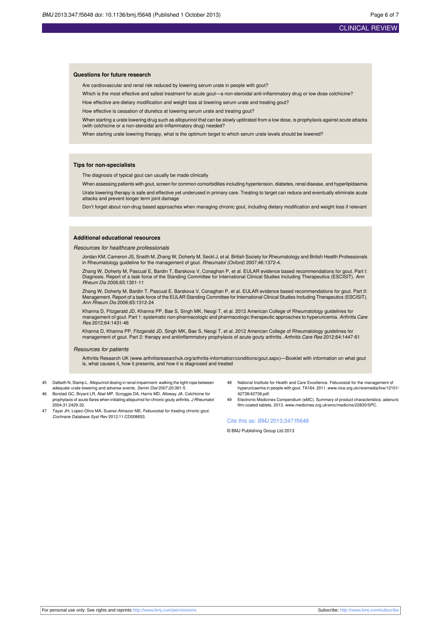#### **Questions for future research**

Are cardiovascular and renal risk reduced by lowering serum urate in people with gout?

Which is the most effective and safest treatment for acute gout-a non-steroidal anti-inflammatory drug or low dose colchicine?

How effective are dietary modification and weight loss at lowering serum urate and treating gout?

How effective is cessation of diuretics at lowering serum urate and treating gout?

When starting a urate lowering drug such as allopurinol that can be slowly uptitrated from a low dose, is prophylaxis against acute attacks (with colchicine or a non-steroidal anti-inflammatory drug) needed?

When starting urate lowering therapy, what is the optimum target to which serum urate levels should be lowered?

#### **Tips for non-specialists**

The diagnosis of typical gout can usually be made clinically

When assessing patients with gout, screen for common comorbidities including hypertension, diabetes, renal disease, and hyperlipidaemia Urate lowering therapy is safe and effective yet underused in primary care. Treating to target can reduce and eventually eliminate acute attacks and prevent longer term joint damage

Don't forget about non-drug based approaches when managing chronic gout, including dietary modification and weight loss if relevant

#### **Additional educational resources**

Resources for healthcare professionals

Jordan KM, Cameron JS, Snaith M, Zhang W, Doherty M, Seckl J, et al. British Society for Rheumatology and British Health Professionals in Rheumatology guideline for the management of gout. Rheumatol (Oxford) 2007;46:1372-4.

Zhang W, Doherty M, Pascual E, Bardin T, Barskova V, Conaghan P, et al. EULAR evidence based recommendations for gout. Part I: Diagnosis. Report of a task force of the Standing Committee for International Clinical Studies Including Therapeutics (ESCISIT). Ann Rheum Dis 2006;65:1301-11

Zhang W, Doherty M, Bardin T, Pascual E, Barskova V, Conaghan P, et al. EULAR evidence based recommendations for gout. Part II: Management. Report of a task force of the EULAR Standing Committee for International Clinical Studies Including Therapeutics (ESCISIT). Ann Rheum Dis 2006;65:1312-24

Khanna D, Fitzgerald JD, Khanna PP, Bae S, Singh MK, Neogi T, et al. 2012 American College of Rheumatology guidelines for management of gout. Part 1: systematic non-pharmacologic and pharmacologic therapeutic approaches to hyperuricemia. Arthritis Care Res 2012;64:1431-46

Khanna D, Khanna PP, Fitzgerald JD, Singh MK, Bae S, Neogi T, et al. 2012 American College of Rheumatology guidelines for<br>management of gout. Part 2: therapy and antiinflammatory prophylaxis of acute gouty arthritis. *Arth* 

#### Resources for patients

Arthritis Research UK ([www.arthritisresearchuk.org/arthritis-information/conditions/gout.aspx](http://www.arthritisresearchuk.org/arthritis-information/conditions/gout.aspx))—Booklet with information on what gout is, what causes it, how it presents, and how it is diagnosed and treated

- 45 Dalbeth N, Stamp L. Allopurinol dosing in renal impairment: walking the tight-rope between adequate urate-lowering and adverse events. Semin Dial 2007;20:391-5.
- 46 Borstad GC, Bryant LR, Abel MP, Scroggie DA, Harris MD, Alloway JA. Colchicine for prophylaxis of acute flares when initiating allopurinol for chronic gouty arthritis. J Rheumatol 2004;31:2429-32.
- 47 Tayar JH, Lopez-Olivo MA, Suarez-Almazor ME. Febuxostat for treating chronic gout. Cochrane Database Syst Rev 2012;11:CD008653.
- 48 National Institute for Health and Care Excellence. Febuxostat for the management of hyperuricaemia in people with gout. TA164. 2011. [www.nice.org.uk/nicemedia/live/12101/](http://www.nice.org.uk/nicemedia/live/12101/42738/42738.pdf) [42738/42738.pdf](http://www.nice.org.uk/nicemedia/live/12101/42738/42738.pdf).
- 49 Electronic Medicines Compendium (eMC). Summary of product characteristics: adenuric film-coated tablets. 2013. [www.medicines.org.uk/emc/medicine/22830/SPC](http://www.medicines.org.uk/emc/medicine/22830/SPC).

#### Cite this as: BMJ 2013;347:f5648

© BMJ Publishing Group Ltd 2013